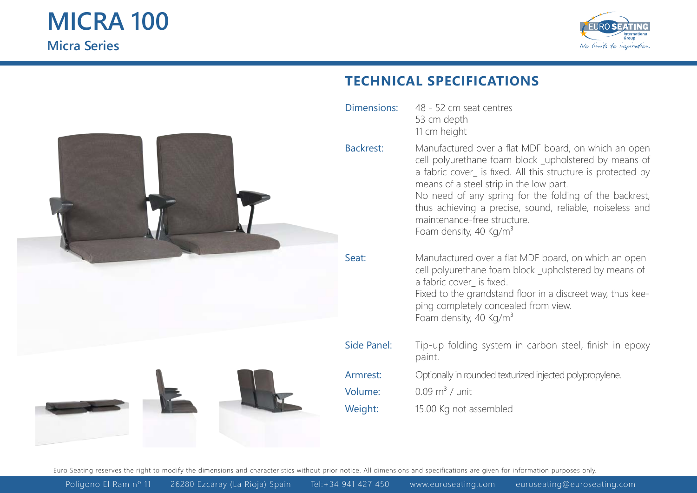

## **TECHNICAL SPECIFICATIONS**

Dimensions: Backrest: Seat: Side Panel: Armrest: Volume: Weight: Manufactured over a flat MDF board, on which an open cell polyurethane foam block upholstered by means of a fabric cover\_ is fixed. All this structure is protected by means of a steel strip in the low part. No need of any spring for the folding of the backrest, thus achieving a precise, sound, reliable, noiseless and maintenance-free structure. Foam density, 40 Kg/m<sup>3</sup> Manufactured over a flat MDF board, on which an open cell polyurethane foam block \_upholstered by means of a fabric cover is fixed. Fixed to the grandstand floor in a discreet way, thus keeping completely concealed from view. Foam density, 40 Kg/m<sup>3</sup> Tip-up folding system in carbon steel, finish in epoxy paint.  $0.09 \text{ m}^3$  / unit Optionally in rounded texturized injected polypropylene. 15.00 Kg not assembled 48 - 52 cm seat centres 53 cm depth 11 cm height

Euro Seating reserves the right to modify the dimensions and characteristics without prior notice. All dimensions and specifications are given for information purposes only.